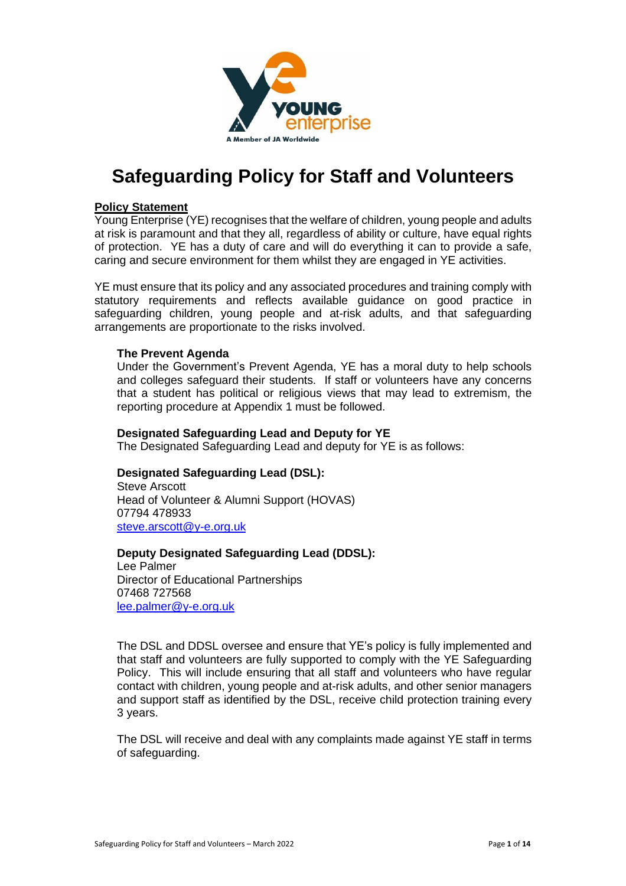

# **Safeguarding Policy for Staff and Volunteers**

#### **Policy Statement**

Young Enterprise (YE) recognises that the welfare of children, young people and adults at risk is paramount and that they all, regardless of ability or culture, have equal rights of protection. YE has a duty of care and will do everything it can to provide a safe, caring and secure environment for them whilst they are engaged in YE activities.

YE must ensure that its policy and any associated procedures and training comply with statutory requirements and reflects available guidance on good practice in safeguarding children, young people and at-risk adults, and that safeguarding arrangements are proportionate to the risks involved.

#### **The Prevent Agenda**

Under the Government's Prevent Agenda, YE has a moral duty to help schools and colleges safeguard their students. If staff or volunteers have any concerns that a student has political or religious views that may lead to extremism, the reporting procedure at Appendix 1 must be followed.

#### **Designated Safeguarding Lead and Deputy for YE**

The Designated Safeguarding Lead and deputy for YE is as follows:

#### **Designated Safeguarding Lead (DSL):**

Steve Arscott Head of Volunteer & Alumni Support (HOVAS) 07794 478933 steve.arscott@y-e.org.uk

#### **Deputy Designated Safeguarding Lead (DDSL):**

Lee Palmer Director of Educational Partnerships 07468 727568 lee.palmer@y-e.org.uk

The DSL and DDSL oversee and ensure that YE's policy is fully implemented and that staff and volunteers are fully supported to comply with the YE Safeguarding Policy. This will include ensuring that all staff and volunteers who have regular contact with children, young people and at-risk adults, and other senior managers and support staff as identified by the DSL, receive child protection training every 3 years.

The DSL will receive and deal with any complaints made against YE staff in terms of safeguarding.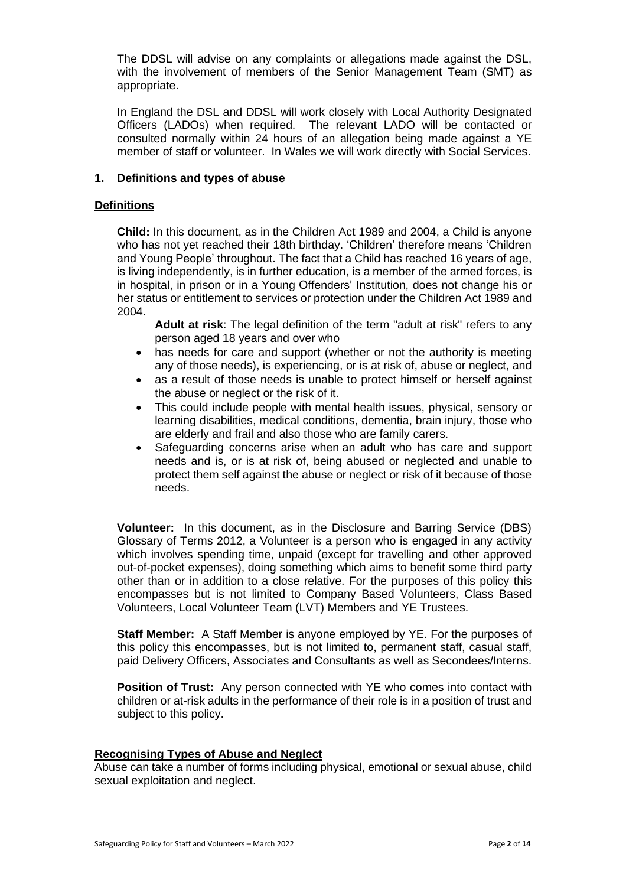The DDSL will advise on any complaints or allegations made against the DSL, with the involvement of members of the Senior Management Team (SMT) as appropriate.

In England the DSL and DDSL will work closely with Local Authority Designated Officers (LADOs) when required. The relevant LADO will be contacted or consulted normally within 24 hours of an allegation being made against a YE member of staff or volunteer. In Wales we will work directly with Social Services.

#### **1. Definitions and types of abuse**

#### **Definitions**

**Child:** In this document, as in the Children Act 1989 and 2004, a Child is anyone who has not yet reached their 18th birthday. 'Children' therefore means 'Children and Young People' throughout. The fact that a Child has reached 16 years of age, is living independently, is in further education, is a member of the armed forces, is in hospital, in prison or in a Young Offenders' Institution, does not change his or her status or entitlement to services or protection under the Children Act 1989 and 2004.

**Adult at risk**: The legal definition of the term "adult at risk" refers to any person aged 18 years and over who

- has needs for care and support (whether or not the authority is meeting any of those needs), is experiencing, or is at risk of, abuse or neglect, and
- as a result of those needs is unable to protect himself or herself against the abuse or neglect or the risk of it.
- This could include people with mental health issues, physical, sensory or learning disabilities, medical conditions, dementia, brain injury, those who are elderly and frail and also those who are family carers.
- Safeguarding concerns arise when an adult who has care and support needs and is, or is at risk of, being abused or neglected and unable to protect them self against the abuse or neglect or risk of it because of those needs.

**Volunteer:** In this document, as in the Disclosure and Barring Service (DBS) Glossary of Terms 2012, a Volunteer is a person who is engaged in any activity which involves spending time, unpaid (except for travelling and other approved out-of-pocket expenses), doing something which aims to benefit some third party other than or in addition to a close relative. For the purposes of this policy this encompasses but is not limited to Company Based Volunteers, Class Based Volunteers, Local Volunteer Team (LVT) Members and YE Trustees.

**Staff Member:** A Staff Member is anyone employed by YE. For the purposes of this policy this encompasses, but is not limited to, permanent staff, casual staff, paid Delivery Officers, Associates and Consultants as well as Secondees/Interns.

**Position of Trust:** Any person connected with YE who comes into contact with children or at-risk adults in the performance of their role is in a position of trust and subject to this policy.

#### **Recognising Types of Abuse and Neglect**

Abuse can take a number of forms including physical, emotional or sexual abuse, child sexual exploitation and neglect.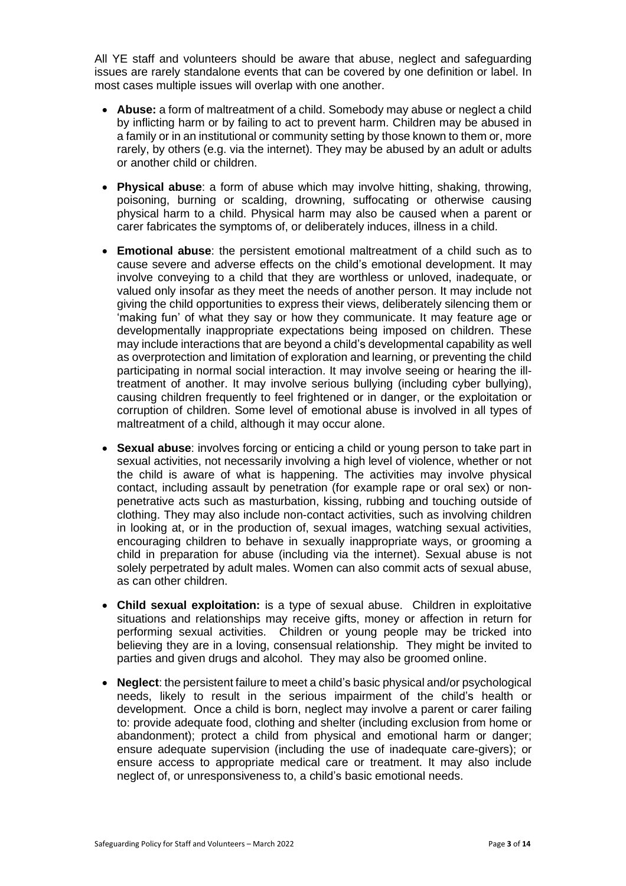All YE staff and volunteers should be aware that abuse, neglect and safeguarding issues are rarely standalone events that can be covered by one definition or label. In most cases multiple issues will overlap with one another.

- **Abuse:** a form of maltreatment of a child. Somebody may abuse or neglect a child by inflicting harm or by failing to act to prevent harm. Children may be abused in a family or in an institutional or community setting by those known to them or, more rarely, by others (e.g. via the internet). They may be abused by an adult or adults or another child or children.
- **Physical abuse**: a form of abuse which may involve hitting, shaking, throwing, poisoning, burning or scalding, drowning, suffocating or otherwise causing physical harm to a child. Physical harm may also be caused when a parent or carer fabricates the symptoms of, or deliberately induces, illness in a child.
- **Emotional abuse**: the persistent emotional maltreatment of a child such as to cause severe and adverse effects on the child's emotional development. It may involve conveying to a child that they are worthless or unloved, inadequate, or valued only insofar as they meet the needs of another person. It may include not giving the child opportunities to express their views, deliberately silencing them or 'making fun' of what they say or how they communicate. It may feature age or developmentally inappropriate expectations being imposed on children. These may include interactions that are beyond a child's developmental capability as well as overprotection and limitation of exploration and learning, or preventing the child participating in normal social interaction. It may involve seeing or hearing the illtreatment of another. It may involve serious bullying (including cyber bullying), causing children frequently to feel frightened or in danger, or the exploitation or corruption of children. Some level of emotional abuse is involved in all types of maltreatment of a child, although it may occur alone.
- **Sexual abuse**: involves forcing or enticing a child or young person to take part in sexual activities, not necessarily involving a high level of violence, whether or not the child is aware of what is happening. The activities may involve physical contact, including assault by penetration (for example rape or oral sex) or nonpenetrative acts such as masturbation, kissing, rubbing and touching outside of clothing. They may also include non-contact activities, such as involving children in looking at, or in the production of, sexual images, watching sexual activities, encouraging children to behave in sexually inappropriate ways, or grooming a child in preparation for abuse (including via the internet). Sexual abuse is not solely perpetrated by adult males. Women can also commit acts of sexual abuse, as can other children.
- **Child sexual exploitation:** is a type of sexual abuse. Children in exploitative situations and relationships may receive gifts, money or affection in return for performing sexual activities. Children or young people may be tricked into believing they are in a loving, consensual relationship. They might be invited to parties and given drugs and alcohol. They may also be groomed online.
- **Neglect**: the persistent failure to meet a child's basic physical and/or psychological needs, likely to result in the serious impairment of the child's health or development. Once a child is born, neglect may involve a parent or carer failing to: provide adequate food, clothing and shelter (including exclusion from home or abandonment); protect a child from physical and emotional harm or danger; ensure adequate supervision (including the use of inadequate care-givers); or ensure access to appropriate medical care or treatment. It may also include neglect of, or unresponsiveness to, a child's basic emotional needs.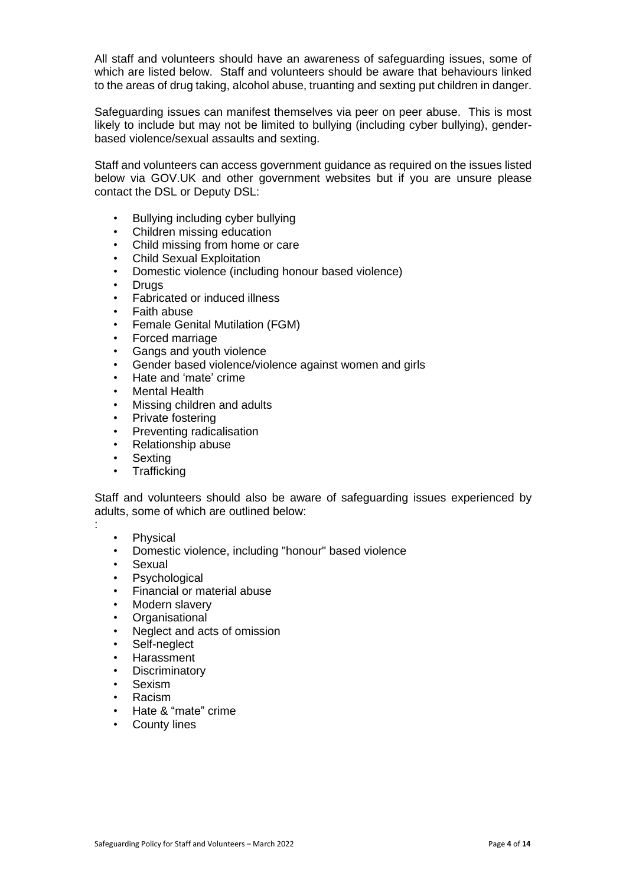All staff and volunteers should have an awareness of safeguarding issues, some of which are listed below. Staff and volunteers should be aware that behaviours linked to the areas of drug taking, alcohol abuse, truanting and sexting put children in danger.

Safeguarding issues can manifest themselves via peer on peer abuse. This is most likely to include but may not be limited to bullying (including cyber bullying), genderbased violence/sexual assaults and sexting.

Staff and volunteers can access government guidance as required on the issues listed below via GOV.UK and other government websites but if you are unsure please contact the DSL or Deputy DSL:

- Bullying including cyber bullying
- Children missing education
- Child missing from home or care
- Child Sexual Exploitation
- Domestic violence (including honour based violence)
- **Drugs**
- Fabricated or induced illness
- Faith abuse
- Female Genital Mutilation (FGM)
- Forced marriage
- Gangs and youth violence
- Gender based violence/violence against women and girls
- Hate and 'mate' crime
- **Mental Health**
- Missing children and adults
- Private fostering
- Preventing radicalisation
- Relationship abuse
- **Sexting**
- **Trafficking**

Staff and volunteers should also be aware of safeguarding issues experienced by adults, some of which are outlined below:

**Physical** 

:

- Domestic violence, including "honour" based violence
- **Sexual**
- **Psychological**
- Financial or material abuse
- Modern slavery
- **Organisational**
- Neglect and acts of omission
- Self-neglect
- Harassment
- **Discriminatory**
- **Sexism**
- Racism
- Hate & "mate" crime
- County lines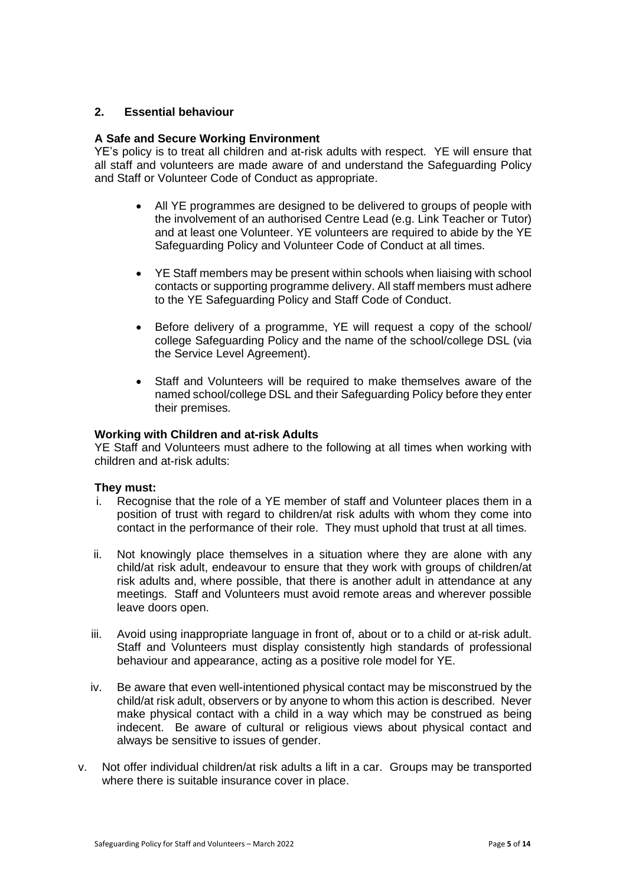#### **2. Essential behaviour**

#### **A Safe and Secure Working Environment**

YE's policy is to treat all children and at-risk adults with respect. YE will ensure that all staff and volunteers are made aware of and understand the Safeguarding Policy and Staff or Volunteer Code of Conduct as appropriate.

- All YE programmes are designed to be delivered to groups of people with the involvement of an authorised Centre Lead (e.g. Link Teacher or Tutor) and at least one Volunteer. YE volunteers are required to abide by the YE Safeguarding Policy and Volunteer Code of Conduct at all times.
- YE Staff members may be present within schools when liaising with school contacts or supporting programme delivery. All staff members must adhere to the YE Safeguarding Policy and Staff Code of Conduct.
- Before delivery of a programme, YE will request a copy of the school/ college Safeguarding Policy and the name of the school/college DSL (via the Service Level Agreement).
- Staff and Volunteers will be required to make themselves aware of the named school/college DSL and their Safeguarding Policy before they enter their premises.

#### **Working with Children and at-risk Adults**

YE Staff and Volunteers must adhere to the following at all times when working with children and at-risk adults:

#### **They must:**

- i. Recognise that the role of a YE member of staff and Volunteer places them in a position of trust with regard to children/at risk adults with whom they come into contact in the performance of their role. They must uphold that trust at all times.
- ii. Not knowingly place themselves in a situation where they are alone with any child/at risk adult, endeavour to ensure that they work with groups of children/at risk adults and, where possible, that there is another adult in attendance at any meetings. Staff and Volunteers must avoid remote areas and wherever possible leave doors open.
- iii. Avoid using inappropriate language in front of, about or to a child or at-risk adult. Staff and Volunteers must display consistently high standards of professional behaviour and appearance, acting as a positive role model for YE.
- iv. Be aware that even well-intentioned physical contact may be misconstrued by the child/at risk adult, observers or by anyone to whom this action is described. Never make physical contact with a child in a way which may be construed as being indecent. Be aware of cultural or religious views about physical contact and always be sensitive to issues of gender.
- v. Not offer individual children/at risk adults a lift in a car. Groups may be transported where there is suitable insurance cover in place.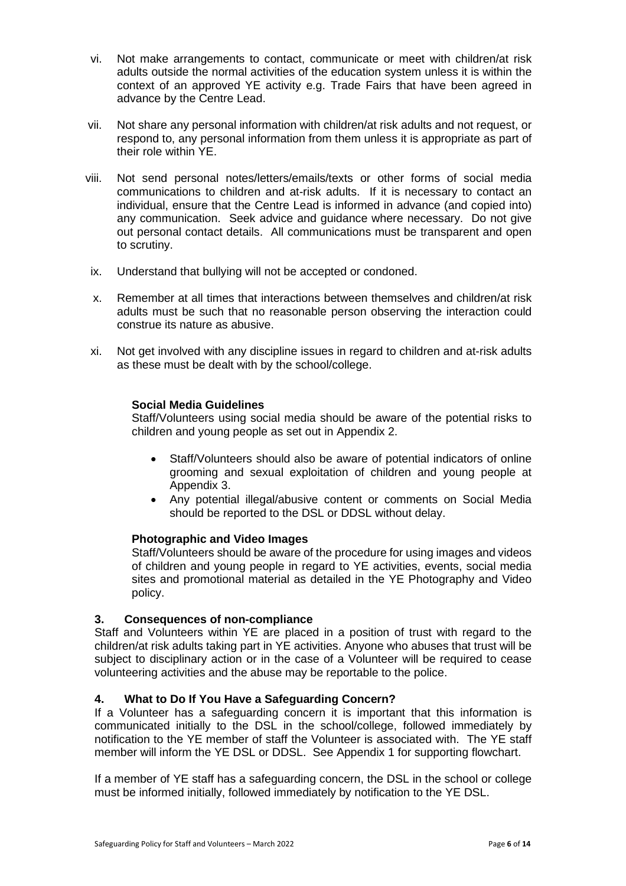- vi. Not make arrangements to contact, communicate or meet with children/at risk adults outside the normal activities of the education system unless it is within the context of an approved YE activity e.g. Trade Fairs that have been agreed in advance by the Centre Lead.
- vii. Not share any personal information with children/at risk adults and not request, or respond to, any personal information from them unless it is appropriate as part of their role within YE.
- viii. Not send personal notes/letters/emails/texts or other forms of social media communications to children and at-risk adults. If it is necessary to contact an individual, ensure that the Centre Lead is informed in advance (and copied into) any communication. Seek advice and guidance where necessary. Do not give out personal contact details. All communications must be transparent and open to scrutiny.
- ix. Understand that bullying will not be accepted or condoned.
- x. Remember at all times that interactions between themselves and children/at risk adults must be such that no reasonable person observing the interaction could construe its nature as abusive.
- xi. Not get involved with any discipline issues in regard to children and at-risk adults as these must be dealt with by the school/college.

#### **Social Media Guidelines**

Staff/Volunteers using social media should be aware of the potential risks to children and young people as set out in Appendix 2.

- Staff/Volunteers should also be aware of potential indicators of online grooming and sexual exploitation of children and young people at Appendix 3.
- Any potential illegal/abusive content or comments on Social Media should be reported to the DSL or DDSL without delay.

#### **Photographic and Video Images**

Staff/Volunteers should be aware of the procedure for using images and videos of children and young people in regard to YE activities, events, social media sites and promotional material as detailed in the YE Photography and Video policy.

#### **3. Consequences of non-compliance**

Staff and Volunteers within YE are placed in a position of trust with regard to the children/at risk adults taking part in YE activities. Anyone who abuses that trust will be subject to disciplinary action or in the case of a Volunteer will be required to cease volunteering activities and the abuse may be reportable to the police.

#### **4. What to Do If You Have a Safeguarding Concern?**

If a Volunteer has a safeguarding concern it is important that this information is communicated initially to the DSL in the school/college, followed immediately by notification to the YE member of staff the Volunteer is associated with. The YE staff member will inform the YE DSL or DDSL. See Appendix 1 for supporting flowchart.

If a member of YE staff has a safeguarding concern, the DSL in the school or college must be informed initially, followed immediately by notification to the YE DSL.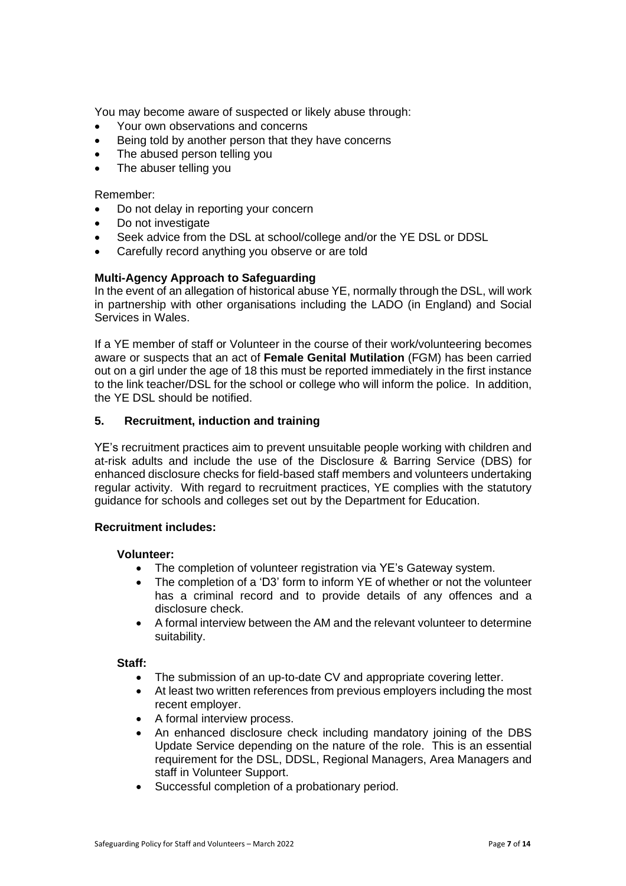You may become aware of suspected or likely abuse through:

- Your own observations and concerns
- Being told by another person that they have concerns
- The abused person telling you
- The abuser telling you

#### Remember:

- Do not delay in reporting your concern
- Do not investigate
- Seek advice from the DSL at school/college and/or the YE DSL or DDSL
- Carefully record anything you observe or are told

#### **Multi-Agency Approach to Safeguarding**

In the event of an allegation of historical abuse YE, normally through the DSL, will work in partnership with other organisations including the LADO (in England) and Social Services in Wales.

If a YE member of staff or Volunteer in the course of their work/volunteering becomes aware or suspects that an act of **Female Genital Mutilation** (FGM) has been carried out on a girl under the age of 18 this must be reported immediately in the first instance to the link teacher/DSL for the school or college who will inform the police. In addition, the YE DSL should be notified.

#### **5. Recruitment, induction and training**

YE's recruitment practices aim to prevent unsuitable people working with children and at-risk adults and include the use of the Disclosure & Barring Service (DBS) for enhanced disclosure checks for field-based staff members and volunteers undertaking regular activity. With regard to recruitment practices, YE complies with the statutory guidance for schools and colleges set out by the Department for Education.

#### **Recruitment includes:**

#### **Volunteer:**

- The completion of volunteer registration via YE's Gateway system.
- The completion of a 'D3' form to inform YE of whether or not the volunteer has a criminal record and to provide details of any offences and a disclosure check.
- A formal interview between the AM and the relevant volunteer to determine suitability.

#### **Staff:**

- The submission of an up-to-date CV and appropriate covering letter.
- At least two written references from previous employers including the most recent employer.
- A formal interview process.
- An enhanced disclosure check including mandatory joining of the DBS Update Service depending on the nature of the role. This is an essential requirement for the DSL, DDSL, Regional Managers, Area Managers and staff in Volunteer Support.
- Successful completion of a probationary period.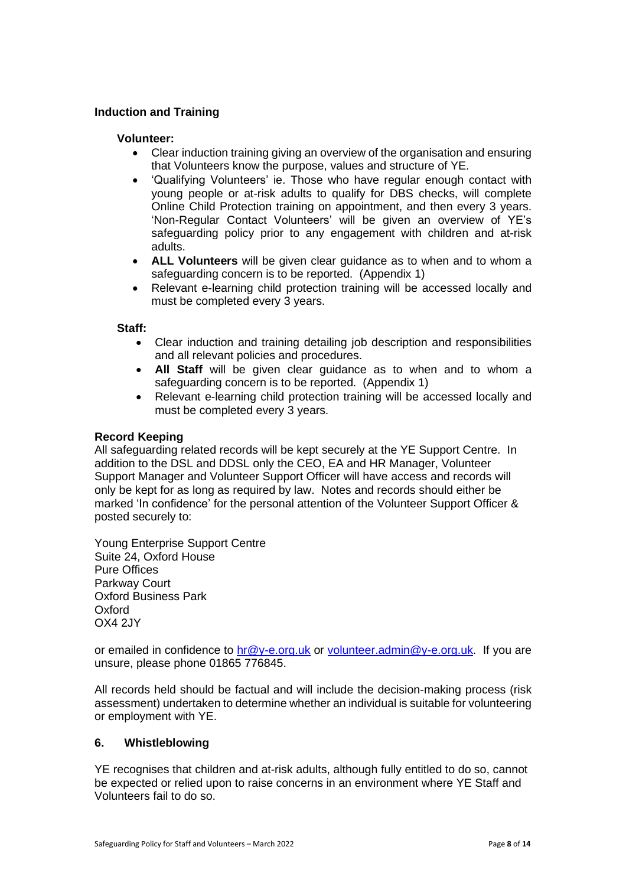#### **Induction and Training**

#### **Volunteer:**

- Clear induction training giving an overview of the organisation and ensuring that Volunteers know the purpose, values and structure of YE.
- 'Qualifying Volunteers' ie. Those who have regular enough contact with young people or at-risk adults to qualify for DBS checks, will complete Online Child Protection training on appointment, and then every 3 years. 'Non-Regular Contact Volunteers' will be given an overview of YE's safeguarding policy prior to any engagement with children and at-risk adults.
- **ALL Volunteers** will be given clear guidance as to when and to whom a safeguarding concern is to be reported. (Appendix 1)
- Relevant e-learning child protection training will be accessed locally and must be completed every 3 years.

#### **Staff:**

- Clear induction and training detailing job description and responsibilities and all relevant policies and procedures.
- **All Staff** will be given clear guidance as to when and to whom a safeguarding concern is to be reported. (Appendix 1)
- Relevant e-learning child protection training will be accessed locally and must be completed every 3 years.

#### **Record Keeping**

All safeguarding related records will be kept securely at the YE Support Centre. In addition to the DSL and DDSL only the CEO, EA and HR Manager, Volunteer Support Manager and Volunteer Support Officer will have access and records will only be kept for as long as required by law. Notes and records should either be marked 'In confidence' for the personal attention of the Volunteer Support Officer & posted securely to:

Young Enterprise Support Centre Suite 24, Oxford House Pure Offices Parkway Court Oxford Business Park Oxford OX4 2JY

or emailed in confidence to  $\frac{\ln \omega}{\sqrt{C}}$  or  $\frac{\omega}{\omega}$  or  $\frac{\omega}{\omega}$  vertical  $\frac{\omega}{\omega}$ -e.org.uk. If you are unsure, please phone 01865 776845.

All records held should be factual and will include the decision-making process (risk assessment) undertaken to determine whether an individual is suitable for volunteering or employment with YE.

#### **6. Whistleblowing**

YE recognises that children and at-risk adults, although fully entitled to do so, cannot be expected or relied upon to raise concerns in an environment where YE Staff and Volunteers fail to do so.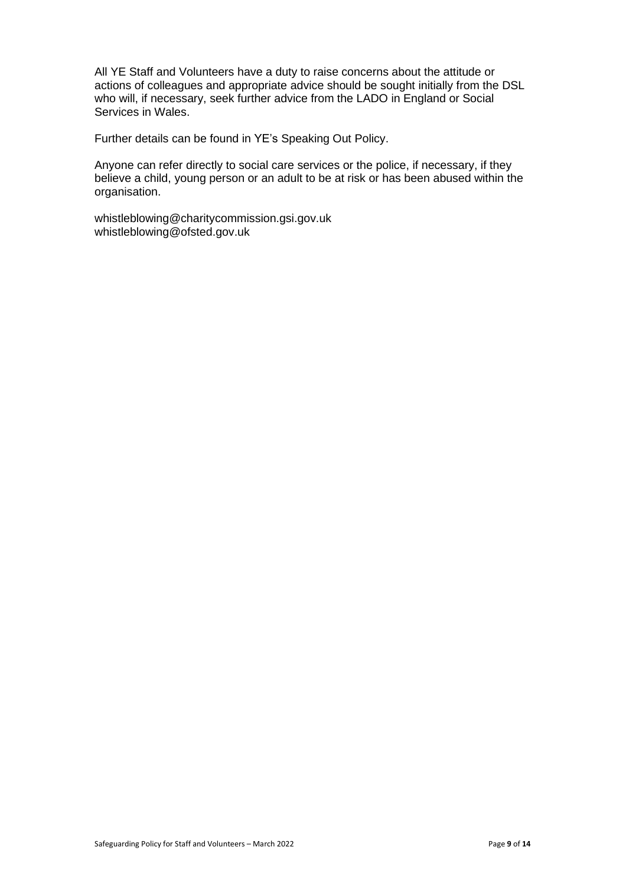All YE Staff and Volunteers have a duty to raise concerns about the attitude or actions of colleagues and appropriate advice should be sought initially from the DSL who will, if necessary, seek further advice from the LADO in England or Social Services in Wales.

Further details can be found in YE's Speaking Out Policy.

Anyone can refer directly to social care services or the police, if necessary, if they believe a child, young person or an adult to be at risk or has been abused within the organisation.

[whistleblowing@charitycommission.gsi.gov.uk](mailto:whistleblowing@charitycommission.gsi.gov.uk) [whistleblowing@ofsted.gov.uk](mailto:whistleblowing@ofsted.gov.uk)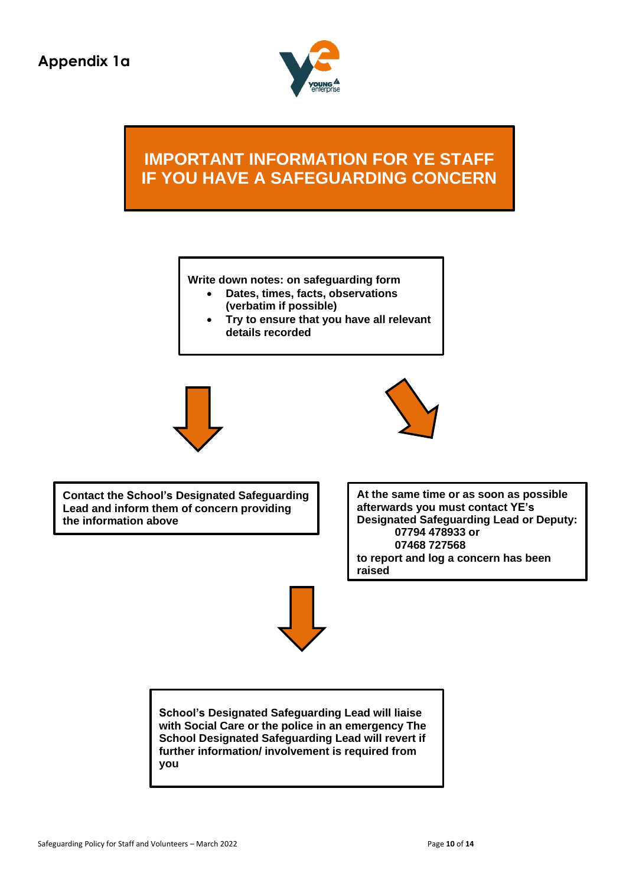

# **IMPORTANT INFORMATION FOR YE STAFF IF YOU HAVE A SAFEGUARDING CONCERN**

**Write down notes: on safeguarding form**

- **Dates, times, facts, observations (verbatim if possible)**
- **Try to ensure that you have all relevant details recorded**





**Contact the School's Designated Safeguarding Lead and inform them of concern providing the information above**

**At the same time or as soon as possible afterwards you must contact YE's Designated Safeguarding Lead or Deputy: 07794 478933 or 07468 727568 to report and log a concern has been raised**



**School's Designated Safeguarding Lead will liaise with Social Care or the police in an emergency The School Designated Safeguarding Lead will revert if further information/ involvement is required from you**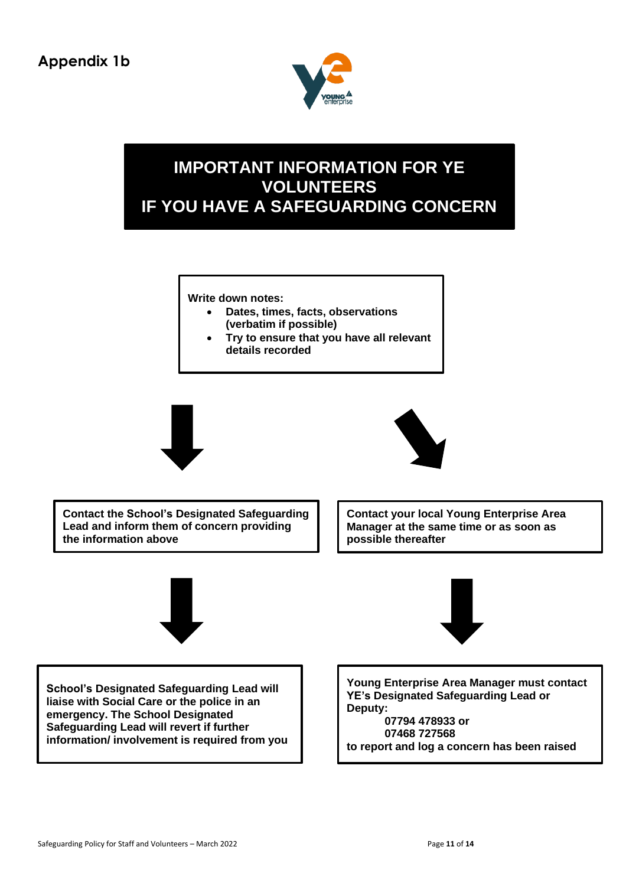

## **IMPORTANT INFORMATION FOR YE VOLUNTEERS IF YOU HAVE A SAFEGUARDING CONCERN**

**Write down notes:**

- **Dates, times, facts, observations (verbatim if possible)**
- **Try to ensure that you have all relevant details recorded**





**Contact the School's Designated Safeguarding Lead and inform them of concern providing the information above**

**Contact your local Young Enterprise Area Manager at the same time or as soon as possible thereafter**





**School's Designated Safeguarding Lead will liaise with Social Care or the police in an emergency. The School Designated Safeguarding Lead will revert if further information/ involvement is required from you** **Young Enterprise Area Manager must contact YE's Designated Safeguarding Lead or Deputy: 07794 478933 or**

**07468 727568 to report and log a concern has been raised**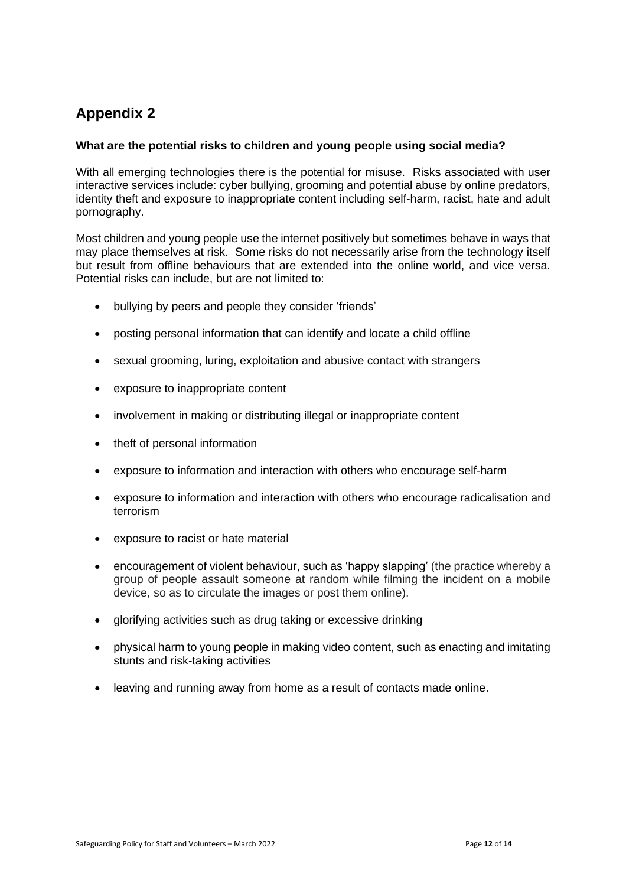### **Appendix 2**

#### **What are the potential risks to children and young people using social media?**

With all emerging technologies there is the potential for misuse. Risks associated with user interactive services include: cyber bullying, grooming and potential abuse by online predators, identity theft and exposure to inappropriate content including self-harm, racist, hate and adult pornography.

Most children and young people use the internet positively but sometimes behave in ways that may place themselves at risk. Some risks do not necessarily arise from the technology itself but result from offline behaviours that are extended into the online world, and vice versa. Potential risks can include, but are not limited to:

- bullying by peers and people they consider 'friends'
- posting personal information that can identify and locate a child offline
- sexual grooming, luring, exploitation and abusive contact with strangers
- exposure to inappropriate content
- involvement in making or distributing illegal or inappropriate content
- theft of personal information
- exposure to information and interaction with others who encourage self-harm
- exposure to information and interaction with others who encourage radicalisation and terrorism
- exposure to racist or hate material
- encouragement of violent behaviour, such as 'happy slapping' (the practice whereby a group of people assault someone at random while filming the incident on a mobile device, so as to circulate the images or post them online).
- glorifying activities such as drug taking or excessive drinking
- physical harm to young people in making video content, such as enacting and imitating stunts and risk-taking activities
- leaving and running away from home as a result of contacts made online.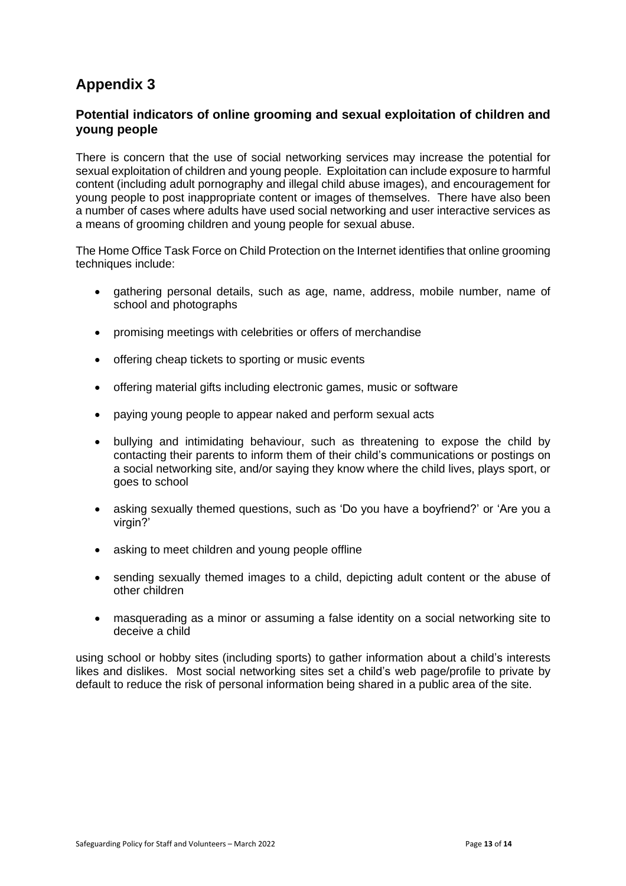### **Appendix 3**

#### **Potential indicators of online grooming and sexual exploitation of children and young people**

There is concern that the use of social networking services may increase the potential for sexual exploitation of children and young people. Exploitation can include exposure to harmful content (including adult pornography and illegal child abuse images), and encouragement for young people to post inappropriate content or images of themselves. There have also been a number of cases where adults have used social networking and user interactive services as a means of grooming children and young people for sexual abuse.

The Home Office Task Force on Child Protection on the Internet identifies that online grooming techniques include:

- gathering personal details, such as age, name, address, mobile number, name of school and photographs
- promising meetings with celebrities or offers of merchandise
- offering cheap tickets to sporting or music events
- offering material gifts including electronic games, music or software
- paying young people to appear naked and perform sexual acts
- bullying and intimidating behaviour, such as threatening to expose the child by contacting their parents to inform them of their child's communications or postings on a social networking site, and/or saying they know where the child lives, plays sport, or goes to school
- asking sexually themed questions, such as 'Do you have a boyfriend?' or 'Are you a virgin?'
- asking to meet children and young people offline
- sending sexually themed images to a child, depicting adult content or the abuse of other children
- masquerading as a minor or assuming a false identity on a social networking site to deceive a child

using school or hobby sites (including sports) to gather information about a child's interests likes and dislikes. Most social networking sites set a child's web page/profile to private by default to reduce the risk of personal information being shared in a public area of the site.